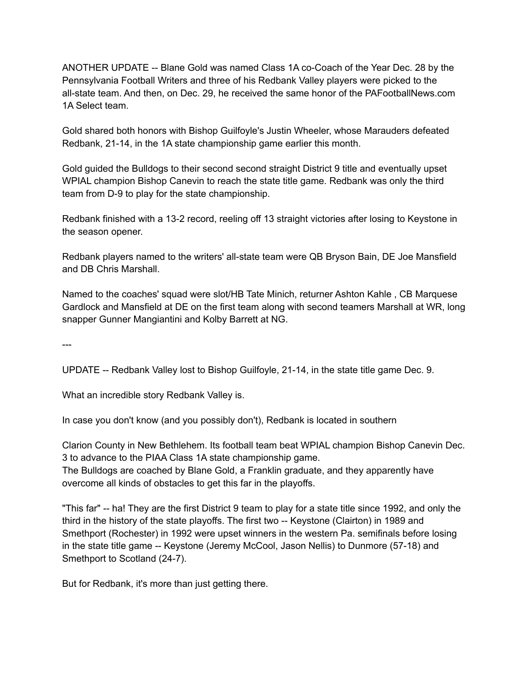ANOTHER UPDATE -- Blane Gold was named Class 1A co-Coach of the Year Dec. 28 by the Pennsylvania Football Writers and three of his Redbank Valley players were picked to the all-state team. And then, on Dec. 29, he received the same honor of the PAFootballNews.com 1A Select team.

Gold shared both honors with Bishop Guilfoyle's Justin Wheeler, whose Marauders defeated Redbank, 21-14, in the 1A state championship game earlier this month.

Gold guided the Bulldogs to their second second straight District 9 title and eventually upset WPIAL champion Bishop Canevin to reach the state title game. Redbank was only the third team from D-9 to play for the state championship.

Redbank finished with a 13-2 record, reeling off 13 straight victories after losing to Keystone in the season opener.

Redbank players named to the writers' all-state team were QB Bryson Bain, DE Joe Mansfield and DB Chris Marshall.

Named to the coaches' squad were slot/HB Tate Minich, returner Ashton Kahle , CB Marquese Gardlock and Mansfield at DE on the first team along with second teamers Marshall at WR, long snapper Gunner Mangiantini and Kolby Barrett at NG.

---

UPDATE -- Redbank Valley lost to Bishop Guilfoyle, 21-14, in the state title game Dec. 9.

What an incredible story Redbank Valley is.

In case you don't know (and you possibly don't), Redbank is located in southern

Clarion County in New Bethlehem. Its football team beat WPIAL champion Bishop Canevin Dec. 3 to advance to the PIAA Class 1A state championship game. The Bulldogs are coached by Blane Gold, a Franklin graduate, and they apparently have

overcome all kinds of obstacles to get this far in the playoffs.

"This far" -- ha! They are the first District 9 team to play for a state title since 1992, and only the third in the history of the state playoffs. The first two -- Keystone (Clairton) in 1989 and Smethport (Rochester) in 1992 were upset winners in the western Pa. semifinals before losing in the state title game -- Keystone (Jeremy McCool, Jason Nellis) to Dunmore (57-18) and Smethport to Scotland (24-7).

But for Redbank, it's more than just getting there.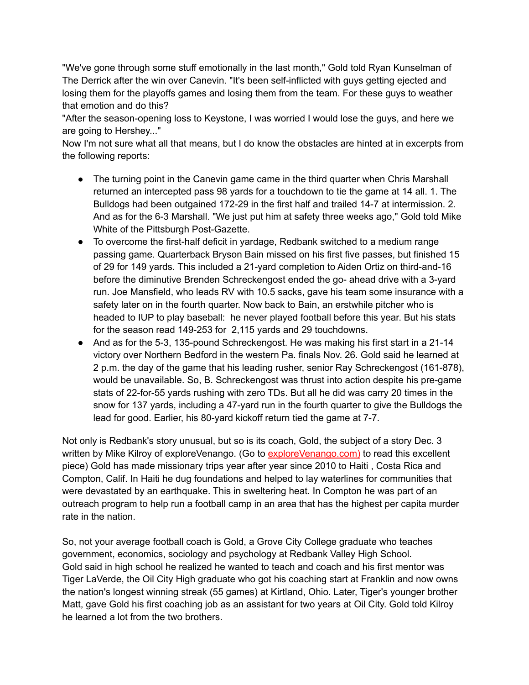"We've gone through some stuff emotionally in the last month," Gold told Ryan Kunselman of The Derrick after the win over Canevin. "It's been self-inflicted with guys getting ejected and losing them for the playoffs games and losing them from the team. For these guys to weather that emotion and do this?

"After the season-opening loss to Keystone, I was worried I would lose the guys, and here we are going to Hershey..."

Now I'm not sure what all that means, but I do know the obstacles are hinted at in excerpts from the following reports:

- The turning point in the Canevin game came in the third quarter when Chris Marshall returned an intercepted pass 98 yards for a touchdown to tie the game at 14 all. 1. The Bulldogs had been outgained 172-29 in the first half and trailed 14-7 at intermission. 2. And as for the 6-3 Marshall. "We just put him at safety three weeks ago," Gold told Mike White of the Pittsburgh Post-Gazette.
- To overcome the first-half deficit in yardage, Redbank switched to a medium range passing game. Quarterback Bryson Bain missed on his first five passes, but finished 15 of 29 for 149 yards. This included a 21-yard completion to Aiden Ortiz on third-and-16 before the diminutive Brenden Schreckengost ended the go- ahead drive with a 3-yard run. Joe Mansfield, who leads RV with 10.5 sacks, gave his team some insurance with a safety later on in the fourth quarter. Now back to Bain, an erstwhile pitcher who is headed to IUP to play baseball: he never played football before this year. But his stats for the season read 149-253 for 2,115 yards and 29 touchdowns.
- And as for the 5-3, 135-pound Schreckengost. He was making his first start in a 21-14 victory over Northern Bedford in the western Pa. finals Nov. 26. Gold said he learned at 2 p.m. the day of the game that his leading rusher, senior Ray Schreckengost (161-878), would be unavailable. So, B. Schreckengost was thrust into action despite his pre-game stats of 22-for-55 yards rushing with zero TDs. But all he did was carry 20 times in the snow for 137 yards, including a 47-yard run in the fourth quarter to give the Bulldogs the lead for good. Earlier, his 80-yard kickoff return tied the game at 7-7.

Not only is Redbank's story unusual, but so is its coach, Gold, the subject of a story Dec. 3 written by Mike Kilroy of exploreVenango. (Go to [exploreVenango.com\)](http://explorevenango.com/) to read this excellent piece) Gold has made missionary trips year after year since 2010 to Haiti , Costa Rica and Compton, Calif. In Haiti he dug foundations and helped to lay waterlines for communities that were devastated by an earthquake. This in sweltering heat. In Compton he was part of an outreach program to help run a football camp in an area that has the highest per capita murder rate in the nation.

So, not your average football coach is Gold, a Grove City College graduate who teaches government, economics, sociology and psychology at Redbank Valley High School. Gold said in high school he realized he wanted to teach and coach and his first mentor was Tiger LaVerde, the Oil City High graduate who got his coaching start at Franklin and now owns the nation's longest winning streak (55 games) at Kirtland, Ohio. Later, Tiger's younger brother Matt, gave Gold his first coaching job as an assistant for two years at Oil City. Gold told Kilroy he learned a lot from the two brothers.